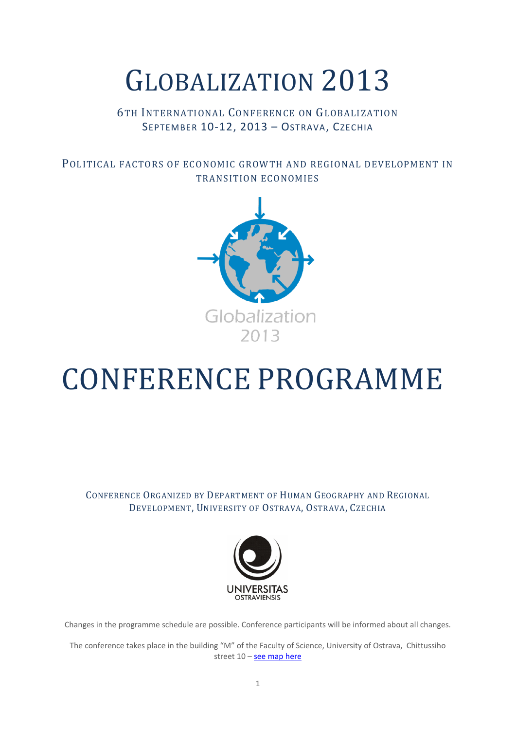# GLOBALIZATION 2013

## 6TH INTERNATIONAL CONFERENCE ON GLOBALIZATION SEPTEMBER 10-12, 2013 - OSTRAVA, CZECHIA

POLITICAL FACTORS OF ECONOMIC GROWTH AND REGIONAL DEVELOPMENT IN TRANSITION ECONOMIES



# CONFERENCE PROGRAMME

CONFERENCE ORGANIZED BY DEPARTMENT OF HUMAN GEOGRAPHY AND REGIONAL DEVELOPMENT, UNIVERSITY OF OSTRAVA, OSTRAVA, CZECHIA



Changes in the programme schedule are possible. Conference participants will be informed about all changes.

The conference takes place in the building "M" of the Faculty of Science, University of Ostrava, Chittussiho street 10 – [see map here](http://www.osu.eu/index.php?kategorie=690&id=2900&budova=11)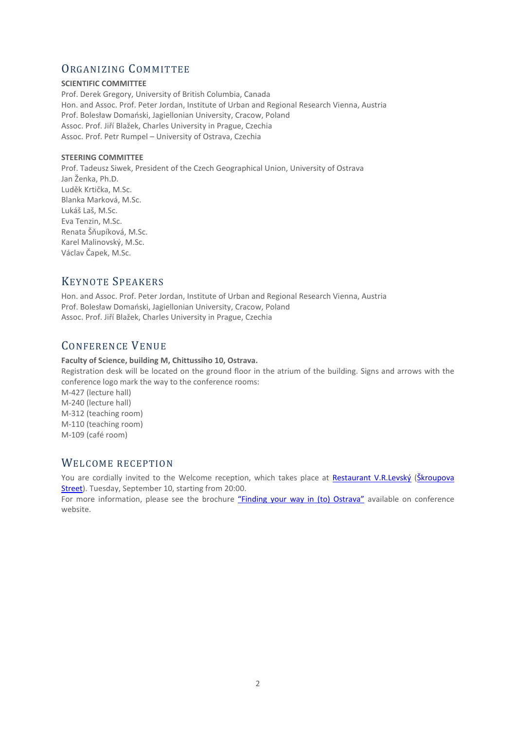## ORGANIZING COMMITTEE

#### **SCIENTIFIC COMMITTEE**

Prof. Derek Gregory, University of British Columbia, Canada Hon. and Assoc. Prof. Peter Jordan, Institute of Urban and Regional Research Vienna, Austria Prof. Bolesław Domański, Jagiellonian University, Cracow, Poland Assoc. Prof. Jiří Blažek, Charles University in Prague, Czechia Assoc. Prof. Petr Rumpel – University of Ostrava, Czechia

#### **STEERING COMMITTEE**

Prof. Tadeusz Siwek, President of the Czech Geographical Union, University of Ostrava Jan Ženka, Ph.D. Luděk Krtička, M.Sc. Blanka Marková, M.Sc. Lukáš Laš, M.Sc. Eva Tenzin, M.Sc. Renata Šňupíková, M.Sc. Karel Malinovský, M.Sc. Václav Čapek, M.Sc.

## KEYNOTE SPEAKERS

Hon. and Assoc. Prof. Peter Jordan, Institute of Urban and Regional Research Vienna, Austria Prof. Bolesław Domański, Jagiellonian University, Cracow, Poland Assoc. Prof. Jiří Blažek, Charles University in Prague, Czechia

## CONFERENCE VENUE

### **Faculty of Science, building M, Chittussiho 10, Ostrava.**

Registration desk will be located on the ground floor in the atrium of the building. Signs and arrows with the conference logo mark the way to the conference rooms: M-427 (lecture hall) M-240 (lecture hall) M-312 (teaching room) M-110 (teaching room) M-109 (café room)

## WELCOME RECEPTION

You are cordially invited to the Welcome reception, which takes place at [Restaurant V.R.Levský](http://www.levsky.cz/) (Škroupova [Street\)](http://goo.gl/maps/3WHm3). Tuesday, September 10, starting from 20:00.

For more information, please see the brochure ["Finding your way in \(to\) Ostrava"](http://conference.osu.eu/globalization/wp-content/uploads/dont_get_lost_Globalization2013.pdf) available on conference website.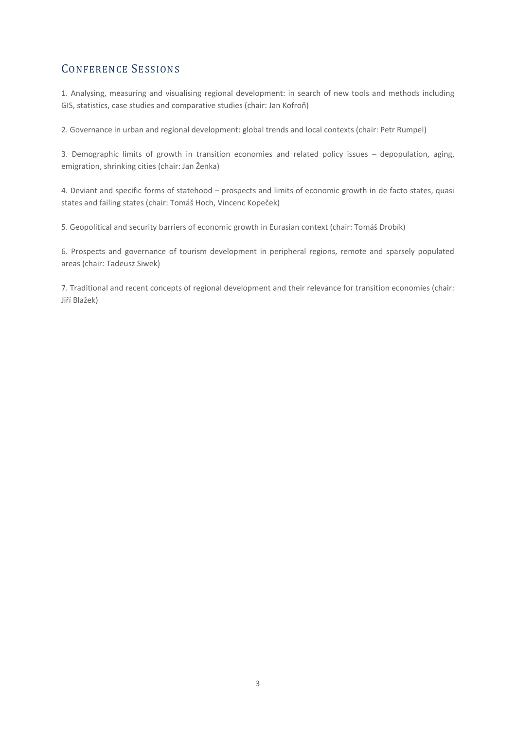## CONFERENCE SESSIONS

1. Analysing, measuring and visualising regional development: in search of new tools and methods including GIS, statistics, case studies and comparative studies (chair: Jan Kofroň)

2. Governance in urban and regional development: global trends and local contexts (chair: Petr Rumpel)

3. Demographic limits of growth in transition economies and related policy issues – depopulation, aging, emigration, shrinking cities (chair: Jan Ženka)

4. Deviant and specific forms of statehood – prospects and limits of economic growth in de facto states, quasi states and failing states (chair: Tomáš Hoch, Vincenc Kopeček)

5. Geopolitical and security barriers of economic growth in Eurasian context (chair: Tomáš Drobík)

6. Prospects and governance of tourism development in peripheral regions, remote and sparsely populated areas (chair: Tadeusz Siwek)

7. Traditional and recent concepts of regional development and their relevance for transition economies (chair: Jiří Blažek)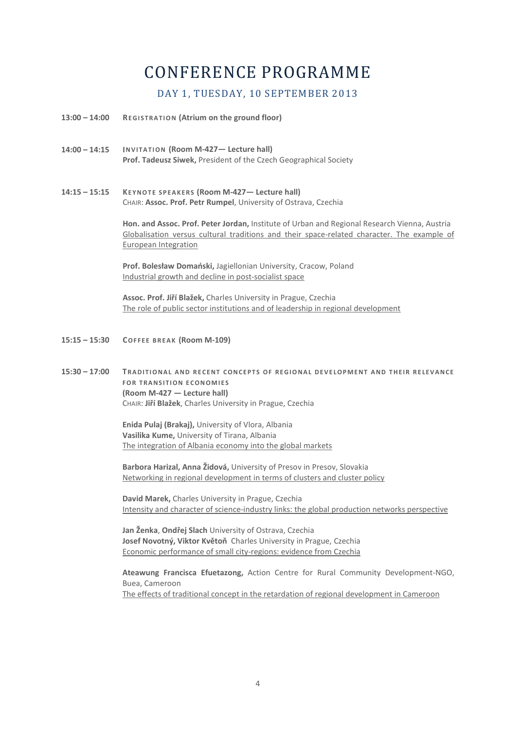## CONFERENCE PROGRAMME

### DAY 1, TUESDAY, 10 SEPTEMBER 2013

- **13:00 – 14:00 REGISTRATION (Atrium on the ground floor)**
- **14:00 – 14:15 INVITATION (Room M-427— Lecture hall) Prof. Tadeusz Siwek,** President of the Czech Geographical Society
- **14:15 – 15:15 KEYNOTE SPEAKERS (Room M-427— Lecture hall)** CHAIR: **Assoc. Prof. Petr Rumpel**, University of Ostrava, Czechia

**Hon. and Assoc. Prof. Peter Jordan,** Institute of Urban and Regional Research Vienna, Austria Globalisation versus cultural traditions and their space-related character. The example of European Integration

**Prof. Bolesław Domański,** Jagiellonian University, Cracow, Poland Industrial growth and decline in post-socialist space

**Assoc. Prof. Jiří Blažek,** Charles University in Prague, Czechia The role of public sector institutions and of leadership in regional development

- **15:15 – 15:30 COFFEE BREAK (Room M-109)**
- **15:30 – 17:00 TRADITIONAL AND RECENT CONCEPTS OF REGIONAL DEVELOPMENT AND THEIR RELEVANCE FOR TRANSITION ECONOMIES (Room M-427 — Lecture hall)** CHAIR: **Jiří Blažek**, Charles University in Prague, Czechia

**Enida Pulaj (Brakaj),** University of Vlora, Albania **Vasilika Kume,** University of Tirana, Albania The integration of Albania economy into the global markets

**Barbora Harizal, Anna Židová,** University of Presov in Presov, Slovakia Networking in regional development in terms of clusters and cluster policy

**David Marek,** Charles University in Prague, Czechia Intensity and character of science-industry links: the global production networks perspective

**Jan Ženka**, **Ondřej Slach** University of Ostrava, Czechia **Josef Novotný, Viktor Květoň** Charles University in Prague, Czechia Economic performance of small city-regions: evidence from Czechia

**Ateawung Francisca Efuetazong,** Action Centre for Rural Community Development-NGO, Buea, Cameroon The effects of traditional concept in the retardation of regional development in Cameroon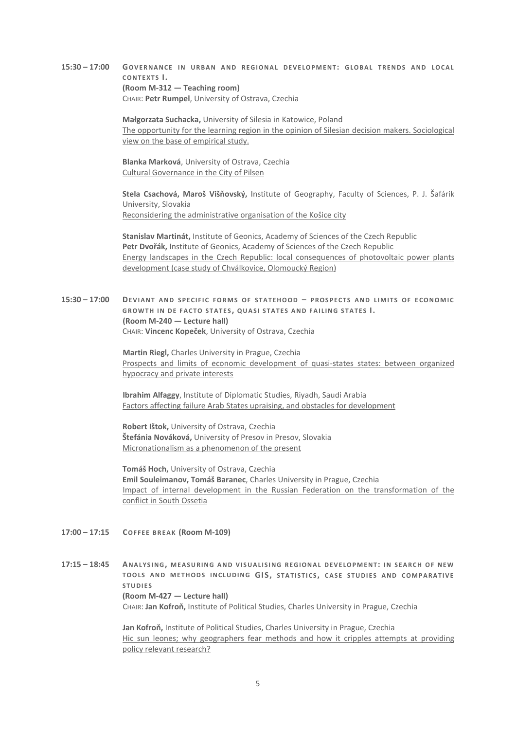#### **15:30 – 17:00 GOVERNANCE IN URBAN AND REGIONAL DEVELOPMENT: GLOBAL TRENDS AND LOCAL CONTEXTS I. (Room M-312 — Teaching room)** CHAIR: **Petr Rumpel**, University of Ostrava, Czechia

**Małgorzata Suchacka,** University of Silesia in Katowice, Poland The opportunity for the learning region in the opinion of Silesian decision makers. Sociological view on the base of empirical study.

**Blanka Marková**, University of Ostrava, Czechia Cultural Governance in the City of Pilsen

**Stela Csachová, Maroš Višňovský,** Institute of Geography, Faculty of Sciences, P. J. Šafárik University, Slovakia Reconsidering the administrative organisation of the Košice city

**Stanislav Martinát,** Institute of Geonics, Academy of Sciences of the Czech Republic **Petr Dvořák,** Institute of Geonics, Academy of Sciences of the Czech Republic Energy landscapes in the Czech Republic: local consequences of photovoltaic power plants development (case study of Chválkovice, Olomoucký Region)

**15:30 – 17:00 DEVIANT AND SPECIFIC FORMS OF STATEHOOD – PROSPECTS AND LIMITS OF ECONOMIC GROWTH IN DE FACTO S TATES , QUASI STATES AND FAI LING STATES I. (Room M-240 — Lecture hall)** CHAIR: **Vincenc Kopeček**, University of Ostrava, Czechia

> **Martin Riegl,** Charles University in Prague, Czechia Prospects and limits of economic development of quasi-states states: between organized hypocracy and private interests

**Ibrahim Alfaggy**, Institute of Diplomatic Studies, Riyadh, Saudi Arabia Factors affecting failure Arab States upraising, and obstacles for development

**Robert Ištok,** University of Ostrava, Czechia **Štefánia Nováková,** University of Presov in Presov, Slovakia Micronationalism as a phenomenon of the present

**Tomáš Hoch,** University of Ostrava, Czechia **Emil Souleimanov, Tomáš Baranec**, Charles University in Prague, Czechia Impact of internal development in the Russian Federation on the transformation of the conflict in South Ossetia

- **17:00 – 17:15 COFFEE BREAK (Room M-109)**
- **17:15 – 18:45 ANALYSING, MEASURING AND VISUAL ISING REGIONAL DEVELOPMENT: IN SEARCH OF NEW TOOLS AND METHODS INCLUDING GIS, STATISTICS , CASE STUDIES AND COMPARATIVE STUDIES (Room M-427 — Lecture hall)** CHAIR: **Jan Kofroň,** Institute of Political Studies, Charles University in Prague, Czechia

**Jan Kofroň,** Institute of Political Studies, Charles University in Prague, Czechia Hic sun leones; why geographers fear methods and how it cripples attempts at providing policy relevant research?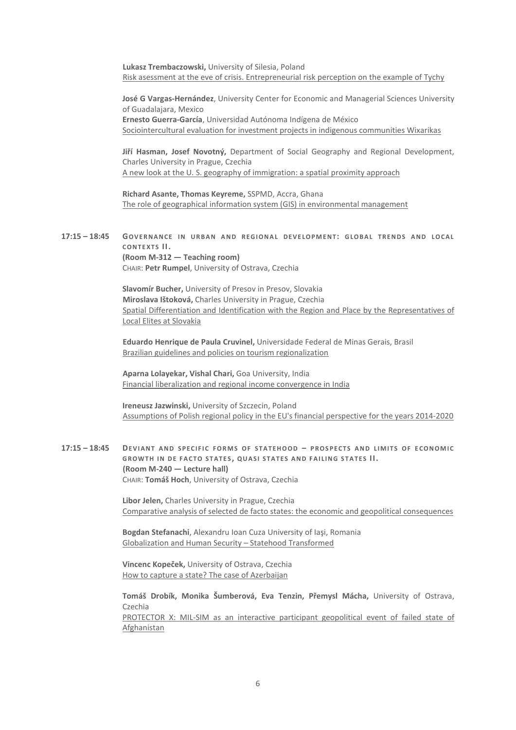**Lukasz Trembaczowski,** University of Silesia, Poland Risk asessment at the eve of crisis. Entrepreneurial risk perception on the example of Tychy

**José G Vargas-Hernández**, University Center for Economic and Managerial Sciences University of Guadalajara, Mexico **Ernesto Guerra-García**, Universidad Autónoma Indígena de México Sociointercultural evaluation for investment projects in indigenous communities Wixarikas

**Jiří Hasman, Josef Novotný,** Department of Social Geography and Regional Development, Charles University in Prague, Czechia A new look at the U. S. geography of immigration: a spatial proximity approach

**Richard Asante, Thomas Keyreme,** SSPMD, Accra, Ghana The role of geographical information system (GIS) in environmental management

#### **17:15 – 18:45 GOVERNANCE IN URBAN AND REGIONAL DEVELOPMENT: GLOBAL TRENDS AND LOCAL CONTEXTS II. (Room M-312 — Teaching room)** CHAIR: **Petr Rumpel**, University of Ostrava, Czechia

**Slavomír Bucher,** University of Presov in Presov, Slovakia **Miroslava Ištoková,** Charles University in Prague, Czechia Spatial Differentiation and Identification with the Region and Place by the Representatives of Local Elites at Slovakia

**Eduardo Henrique de Paula Cruvinel,** Universidade Federal de Minas Gerais, Brasil Brazilian guidelines and policies on tourism regionalization

**Aparna Lolayekar, Vishal Chari,** Goa University, India Financial liberalization and regional income convergence in India

**Ireneusz Jazwinski,** University of Szczecin, Poland Assumptions of Polish regional policy in the EU's financial perspective for the years 2014-2020

**17:15 – 18:45 DEVIANT AND SPECIFIC FORMS OF STATEHOOD – PROSPECTS AND LIMITS OF ECONOMIC GROWTH IN DE FACTO S TATES , QUASI STATES AND FAI LING STATES II. (Room M-240 — Lecture hall)** CHAIR: **Tomáš Hoch**, University of Ostrava, Czechia

> **Libor Jelen,** Charles University in Prague, Czechia Comparative analysis of selected de facto states: the economic and geopolitical consequences

**Bogdan Stefanachi**, Alexandru Ioan Cuza University of Iaşi, Romania Globalization and Human Security – Statehood Transformed

**Vincenc Kopeček,** University of Ostrava, Czechia How to capture a state? The case of Azerbaijan

**Tomáš Drobík, Monika Šumberová, Eva Tenzin, Přemysl Mácha,** University of Ostrava, Czechia

PROTECTOR X: MIL-SIM as an interactive participant geopolitical event of failed state of Afghanistan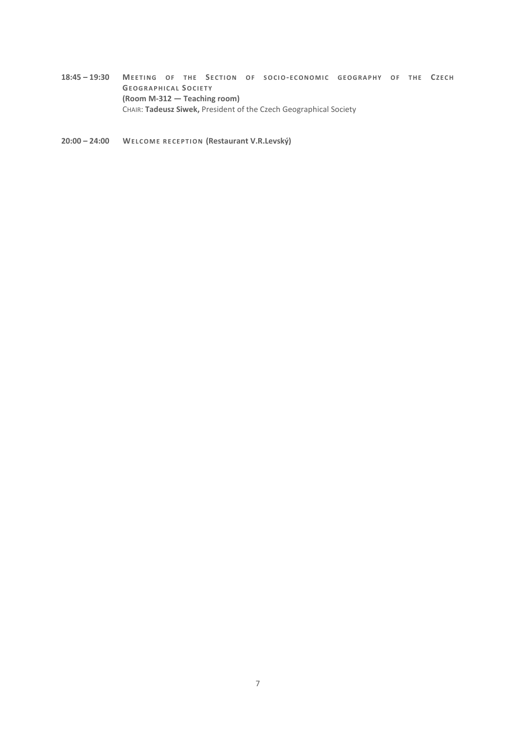**18:45 – 19:30 MEETING OF THE SECTION OF SOCIO-ECONOMIC GEOGRAPHY OF THE CZECH GEOGRAPHICAL SOCIETY (Room M-312 — Teaching room)** CHAIR: **Tadeusz Siwek,** President of the Czech Geographical Society

**20:00 – 24:00 WELCOME RECEPTION (Restaurant V.R.Levský)**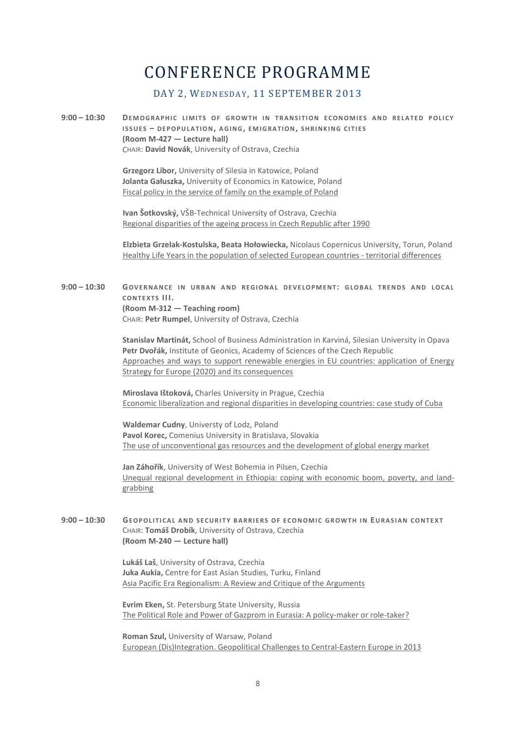## CONFERENCE PROGRAMME

## DAY 2, WEDNESDAY, 11 SEPTEMBER 2013

**9:00 – 10:30 DEMOGRAPHIC LIMITS OF GROWTH IN TRANSITION ECONOMIES AND RELATED POLICY ISSUES – DEPOPULATION, AGING, EMIGRATION, SHRINKING CITIES (Room M-427 — Lecture hall)** CHAIR: **David Novák**, University of Ostrava, Czechia

> **Grzegorz Libor,** University of Silesia in Katowice, Poland **Jolanta Gałuszka,** University of Economics in Katowice, Poland Fiscal policy in the service of family on the example of Poland

**Ivan Šotkovský,** VŠB-Technical University of Ostrava, Czechia Regional disparities of the ageing process in Czech Republic after 1990

**Elzbieta Grzelak-Kostulska, Beata Hołowiecka,** Nicolaus Copernicus University, Torun, Poland Healthy Life Years in the population of selected European countries - territorial differences

#### **9:00 – 10:30 GOVERNANCE IN URBAN AND REGIONAL DEVELOPMENT: GLOBAL TRENDS AND LOCAL CONTEXTS III. (Room M-312 — Teaching room)** CHAIR: **Petr Rumpel**, University of Ostrava, Czechia

**Stanislav Martinát,** School of Business Administration in Karviná, Silesian University in Opava **Petr Dvořák,** Institute of Geonics, Academy of Sciences of the Czech Republic Approaches and ways to support renewable energies in EU countries: application of Energy Strategy for Europe (2020) and its consequences

**Miroslava Ištoková,** Charles University in Prague, Czechia Economic liberalization and regional disparities in developing countries: case study of Cuba

**Waldemar Cudny**, Universty of Lodz, Poland **Pavol Korec,** Comenius University in Bratislava, Slovakia The use of unconventional gas resources and the development of global energy market

**Jan Záhořík**, University of West Bohemia in Pilsen, Czechia Unequal regional development in Ethiopia: coping with economic boom, poverty, and landgrabbing

**9:00 – 10:30 GEOPOLITICAL AND SECURITY BARRIERS OF ECONOMIC GROWTH IN EURASIAN CONTEXT** CHAIR: **Tomáš Drobík**, University of Ostrava, Czechia **(Room M-240 — Lecture hall)**

> **Lukáš Laš**, University of Ostrava, Czechia **Juka Aukia,** Centre for East Asian Studies, Turku, Finland Asia Pacific Era Regionalism: A Review and Critique of the Arguments

**Evrim Eken,** St. Petersburg State University, Russia The Political Role and Power of Gazprom in Eurasia: A policy-maker or role-taker?

**Roman Szul,** University of Warsaw, Poland European (Dis)Integration. Geopolitical Challenges to Central-Eastern Europe in 2013